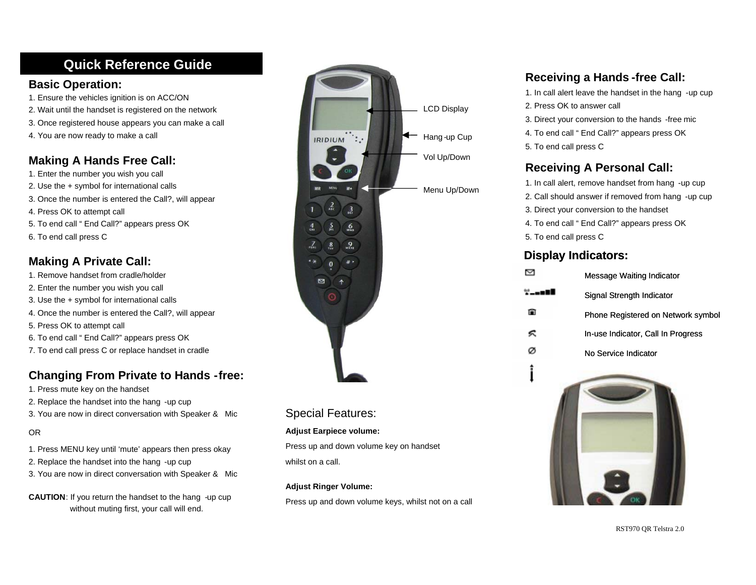# **Quick Reference Guide :**

#### **Basic Operation:**

- 1. Ensure the vehicles ignition is on ACC/ON
- 2. Wait until the handset is registered on the network
- 3. Once registered house appears you can make a call
- 4. You are now ready to make a call

# **Making A Hands Free Call:**

- 1. Enter the number you wish you call
- 2. Use the + symbol for international calls
- 3. Once the number is entered the Call?, will appear
- 4. Press OK to attempt call
- 5. To end call " End Call?" appears press OK
- 6. To end call press C

## **Making A Private Call:**

- 1. Remove handset from cradle/holder
- 2. Enter the number you wish you call
- 3. Use the + symbol for international calls
- 4. Once the number is entered the Call?, will appear
- 5. Press OK to attempt call
- 6. To end call " End Call?" appears press OK
- 7. To end call press C or replace handset in cradle

# **Changing From Private to Hands -free:**

- 1. Press mute key on the handset
- 2. Replace the handset into the hang -up cup
- 3. You are now in direct conversation with Speaker & Mic

#### OR

- 1. Press MENU key until 'mute' appears then press okay
- 2. Replace the handset into the hang -up cup
- 3. You are now in direct conversation with Speaker & Mic
- **CAUTION**: If you return the handset to the hang -up cup without muting first, your call will end.



#### Special Features:

#### **Adjust Earpiece volume:**

Press up and down volume key on handset whilst on a call.

#### **Adjust Ringer Volume:**

Press up and down volume keys, whilst not on a call

# **Receiving a Hands -free Call:**

- 1. In call alert leave the handset in the hang -up cup
- 2. Press OK to answer call
- 3. Direct your conversion to the hands -free mic
- 4. To end call " End Call?" appears press OK
- 5. To end call press C

## **Receiving A Personal Call:**

- 1. In call alert, remove handset from hang -up cup
- 2. Call should answer if removed from hang -up cup
- 3. Direct your conversion to the handset
- 4. To end call " End Call?" appears press OK
- 5. To end call press C

### **Display Indicators:**

|       | Message Waiting Indicator          |
|-------|------------------------------------|
| ⊻——∎i | Signal Strength Indicator          |
|       | Phone Registered on Network symbol |
| ∽     | In-use Indicator, Call In Progress |
|       | No Service Indicator               |